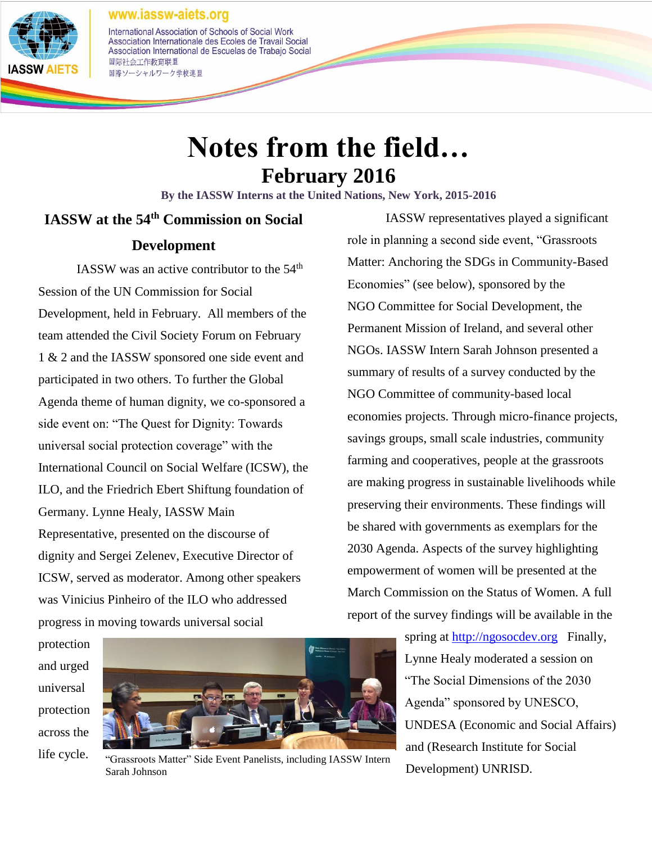www.iassw-aiets.org



#### International Association of Schools of Social Work Association Internationale des Ecoles de Travail Social Association International de Escuelas de Trabajo Social 国际社会工作教育联盟 国際ソーシャルワーク学校連盟

# **Notes from the field… February 2016**

**By the IASSW Interns at the United Nations, New York, 2015-2016**

## **IASSW at the 54th Commission on Social Development**

IASSW was an active contributor to the  $54<sup>th</sup>$ Session of the UN Commission for Social Development, held in February. All members of the team attended the Civil Society Forum on February 1 & 2 and the IASSW sponsored one side event and participated in two others. To further the Global Agenda theme of human dignity, we co-sponsored a side event on: "The Quest for Dignity: Towards universal social protection coverage" with the International Council on Social Welfare (ICSW), the ILO, and the Friedrich Ebert Shiftung foundation of Germany. Lynne Healy, IASSW Main Representative, presented on the discourse of dignity and Sergei Zelenev, Executive Director of ICSW, served as moderator. Among other speakers was Vinicius Pinheiro of the ILO who addressed progress in moving towards universal social

IASSW representatives played a significant role in planning a second side event, "Grassroots Matter: Anchoring the SDGs in Community-Based Economies" (see below), sponsored by the NGO Committee for Social Development, the Permanent Mission of Ireland, and several other NGOs. IASSW Intern Sarah Johnson presented a summary of results of a survey conducted by the NGO Committee of community-based local economies projects. Through micro-finance projects, savings groups, small scale industries, community farming and cooperatives, people at the grassroots are making progress in sustainable livelihoods while preserving their environments. These findings will be shared with governments as exemplars for the 2030 Agenda. Aspects of the survey highlighting empowerment of women will be presented at the March Commission on the Status of Women. A full report of the survey findings will be available in the

protection and urged universal protection across the life cycle.



"Grassroots Matter" Side Event Panelists, including IASSW Intern Sarah Johnson

spring at [http://ngosocdev.org](http://ngosocdev.org/) Finally, Lynne Healy moderated a session on "The Social Dimensions of the 2030 Agenda" sponsored by UNESCO, UNDESA (Economic and Social Affairs) and (Research Institute for Social Development) UNRISD.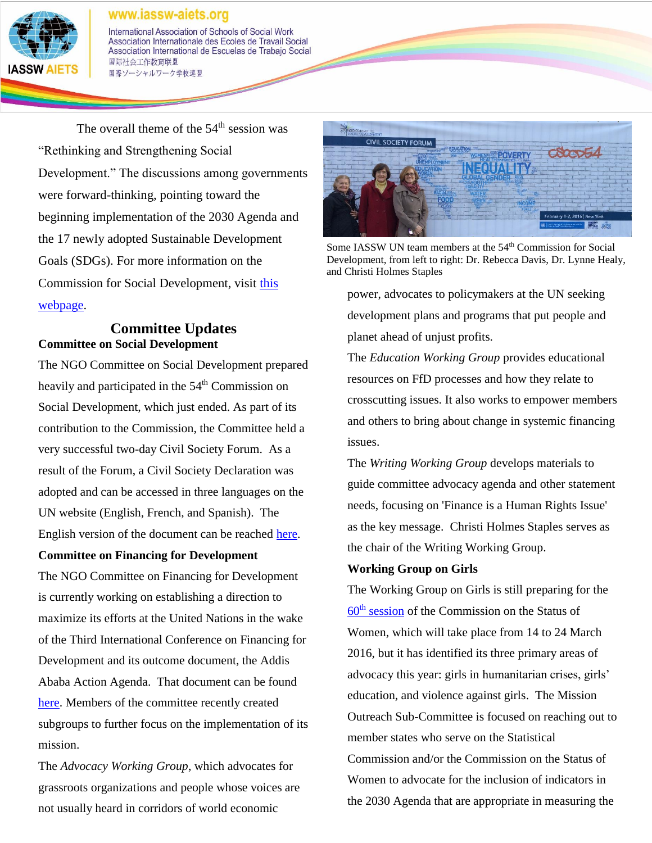

#### www.iassw-aiets.org

International Association of Schools of Social Work Association Internationale des Ecoles de Travail Social Association International de Escuelas de Trabajo Social 国际社会工作教育联盟 国際ソーシャルワーク学校連盟

The overall theme of the  $54<sup>th</sup>$  session was "Rethinking and Strengthening Social Development." The discussions among governments were forward-thinking, pointing toward the beginning implementation of the 2030 Agenda and the 17 newly adopted Sustainable Development Goals (SDGs). For more information on the Commission for Social Development, visit [this](https://www.un.org/development/desa/dspd/united-nations-commission-for-social-development-csocd-social-policy-and-development-division/54th-session-of-the-commission-for-social-development-csocd54.html)  [webpage.](https://www.un.org/development/desa/dspd/united-nations-commission-for-social-development-csocd-social-policy-and-development-division/54th-session-of-the-commission-for-social-development-csocd54.html)

#### **Committee Updates Committee on Social Development**

The NGO Committee on Social Development prepared heavily and participated in the 54<sup>th</sup> Commission on Social Development, which just ended. As part of its contribution to the Commission, the Committee held a very successful two-day Civil Society Forum. As a result of the Forum, a Civil Society Declaration was adopted and can be accessed in three languages on the UN website (English, French, and Spanish). The English version of the document can be reached [here.](http://statements.unmeetings.org/media2/7656141/margaret-mayce-csdeclaration-1-.pdf)

#### **Committee on Financing for Development**

The NGO Committee on Financing for Development is currently working on establishing a direction to maximize its efforts at the United Nations in the wake of the Third International Conference on Financing for Development and its outcome document, the Addis Ababa Action Agenda. That document can be found [here.](http://undocs.org/A/RES/69/313) Members of the committee recently created subgroups to further focus on the implementation of its mission.

The *Advocacy Working Group*, which advocates for grassroots organizations and people whose voices are not usually heard in corridors of world economic



Some IASSW UN team members at the 54<sup>th</sup> Commission for Social Development, from left to right: Dr. Rebecca Davis, Dr. Lynne Healy, and Christi Holmes Staples

power, advocates to policymakers at the UN seeking development plans and programs that put people and planet ahead of unjust profits.

The *Education Working Group* provides educational resources on FfD processes and how they relate to crosscutting issues. It also works to empower members and others to bring about change in systemic financing issues.

The *Writing Working Group* develops materials to guide committee advocacy agenda and other statement needs, focusing on 'Finance is a Human Rights Issue' as the key message. Christi Holmes Staples serves as the chair of the Writing Working Group.

#### **Working Group on Girls**

The Working Group on Girls is still preparing for the  $60<sup>th</sup>$  [session](http://www.unwomen.org/en/csw/csw60-2016) of the Commission on the Status of Women, which will take place from 14 to 24 March 2016, but it has identified its three primary areas of advocacy this year: girls in humanitarian crises, girls' education, and violence against girls. The Mission Outreach Sub-Committee is focused on reaching out to member states who serve on the Statistical Commission and/or the Commission on the Status of Women to advocate for the inclusion of indicators in the 2030 Agenda that are appropriate in measuring the